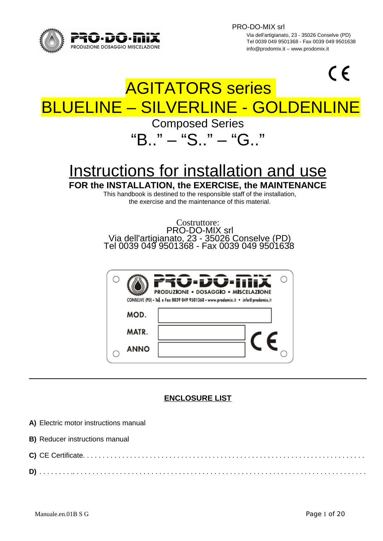

PRO-DO-MIX srl

 Via dell'artigianato, 23 - 35026 Conselve (PD) T<br>
Tel 0039 049 9501368 - Fax 0039 049 9501638<br>
Info@prodomix it assessed all prodomix it assessed and the info@prodomix it assessed info@prodomix it info@prodomix.it – www.prodomix.it

# $\epsilon$ AGITATORS series BLUELINE – SILVERLINE - GOLDENLIN Composed Series "B.." – "S.." – "G.." Instructions for installation and use **FOR the INSTALLATION, the EXERCISE, the MAINTENANCE** This handbook is destined to the responsible staff of the installation, the exercise and the maintenance of this material. Costruttore: PRO-DO-MIX srl Via dell'artigianato, 23 - 35026 Conselve (PD) Tel 0039 049 9501368 - Fax 0039 049 9501638

|             | じ・レU・lili入<br><b>PRODUZIONE . DOSAGGIO . MISCELAZIONE</b><br>CONSELVE (PD) - Tel. e Fax 0039 049 9501368 - www.prodomix.it · info@prodomix.it |  |
|-------------|-----------------------------------------------------------------------------------------------------------------------------------------------|--|
| MOD.        |                                                                                                                                               |  |
| MATR.       |                                                                                                                                               |  |
| <b>ANNO</b> |                                                                                                                                               |  |

# **ENCLOSURE LIST**

- **A)** Electric motor instructions manual
- **B)** Reducer instructions manual
- **C)** CE Certificate. . . . . . . . . . . . . . . . . . . . . . . . . . . . . . . . . . . . . . . . . . . . . . . . . . . . . . . . . . . . . . . . . . . . . . . .
- **D)** . . . . . . . . .. . . . . . . . . . . . . . . . . . . . . . . . . . . . . . . . . . . . . . . . . . . . . . . . . . . . . . . . . . . . . . . . . . . . . . . . . . .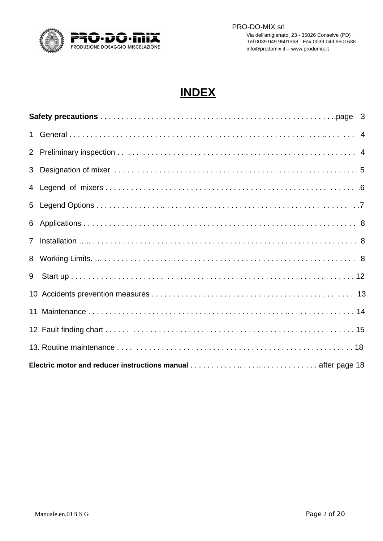

# **INDEX**

| $7^{\circ}$ |  |
|-------------|--|
| 8           |  |
| 9           |  |
|             |  |
|             |  |
|             |  |
|             |  |
|             |  |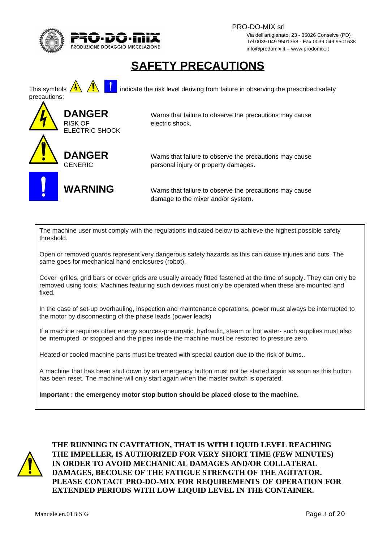

 PRO-DO-MIX srl Via dell'artigianato, 23 - 35026 Conselve (PD) TO TUUTE ILLE TRANSPORT TEL 0039 049 9501368 - Fax 0039 049 9501638<br>PRODUZIONE DOSAGGIO MISCELAZIONE TRANSPORT TRANSPORT TRANSPORT TRANSPORT TRANSPORT TRANSPORT TRANSPORT TRANSPORT info@prodomix.it – www.prodomix.it

# **SAFETY PRECAUTIONS**

This symbols  $\overline{\mathbf{A}}$   $\overline{\mathbf{B}}$  indicate the risk level deriving from failure in observing the prescribed safety precautions: **DANGER** Warns that failure to observe the precautions may cause RISK OF electric shock. ELECTRIC SHOCK **DANGER** Warns that failure to observe the precautions may cause GENERIC personal injury or property damages. **WARNING** Warns that failure to observe the precautions may cause damage to the mixer and/or system.

The machine user must comply with the regulations indicated below to achieve the highest possible safety threshold.

Open or removed guards represent very dangerous safety hazards as this can cause injuries and cuts. The same goes for mechanical hand enclosures (robot).

Cover grilles, grid bars or cover grids are usually already fitted fastened at the time of supply. They can only be removed using tools. Machines featuring such devices must only be operated when these are mounted and fixed.

In the case of set-up overhauling, inspection and maintenance operations, power must always be interrupted to the motor by disconnecting of the phase leads (power leads)

If a machine requires other energy sources-pneumatic, hydraulic, steam or hot water- such supplies must also be interrupted or stopped and the pipes inside the machine must be restored to pressure zero.

Heated or cooled machine parts must be treated with special caution due to the risk of burns..

A machine that has been shut down by an emergency button must not be started again as soon as this button has been reset. The machine will only start again when the master switch is operated.

**Important : the emergency motor stop button should be placed close to the machine.**



**THE RUNNING IN CAVITATION, THAT IS WITH LIQUID LEVEL REACHING THE IMPELLER, IS AUTHORIZED FOR VERY SHORT TIME (FEW MINUTES) IN ORDER TO AVOID MECHANICAL DAMAGES AND/OR COLLATERAL DAMAGES, BECOUSE OF THE FATIGUE STRENGTH OF THE AGITATOR. PLEASE CONTACT PRO-DO-MIX FOR REQUIREMENTS OF OPERATION FOR EXTENDED PERIODS WITH LOW LIQUID LEVEL IN THE CONTAINER.**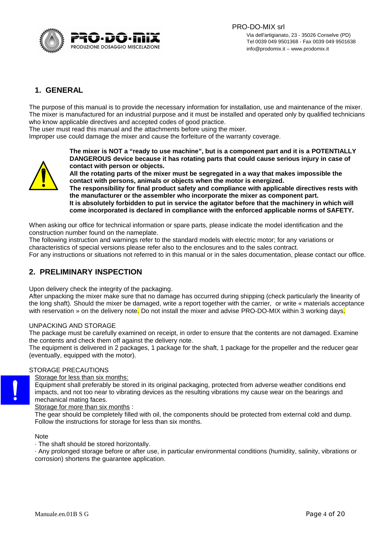

# **1. GENERAL**

The purpose of this manual is to provide the necessary information for installation, use and maintenance of the mixer. The mixer is manufactured for an industrial purpose and it must be installed and operated only by qualified technicians who know applicable directives and accepted codes of good practice.

The user must read this manual and the attachments before using the mixer.

Improper use could damage the mixer and cause the forfeiture of the warranty coverage.



**The mixer is NOT a "ready to use machine", but is a component part and it is a POTENTIALLY DANGEROUS device because it has rotating parts that could cause serious injury in case of contact with person or objects.**

**All the rotating parts of the mixer must be segregated in a way that makes impossible the contact with persons, animals or objects when the motor is energized.**

**The responsibility for final product safety and compliance with applicable directives rests with the manufacturer or the assembler who incorporate the mixer as component part. It is absolutely forbidden to put in service the agitator before that the machinery in which will come incorporated is declared in compliance with the enforced applicable norms of SAFETY.**

When asking our office for technical information or spare parts, please indicate the model identification and the construction number found on the nameplate.

The following instruction and warnings refer to the standard models with electric motor; for any variations or characteristics of special versions please refer also to the enclosures and to the sales contract.

For any instructions or situations not referred to in this manual or in the sales documentation, please contact our office.

# **2. PRELIMINARY INSPECTION**

Upon delivery check the integrity of the packaging.

After unpacking the mixer make sure that no damage has occurred during shipping (check particularly the linearity of the long shaft). Should the mixer be damaged, write a report together with the carrier, or write « materials acceptance with reservation » on the delivery note. Do not install the mixer and advise PRO-DO-MIX within 3 working days.

#### UNPACKING AND STORAGE

The package must be carefully examined on receipt, in order to ensure that the contents are not damaged. Examine the contents and check them off against the delivery note.

The equipment is delivered in 2 packages, 1 package for the shaft, 1 package for the propeller and the reducer gear (eventually, equipped with the motor).

#### STORAGE PRECAUTIONS

Storage for less than six months:

Equipment shall preferably be stored in its original packaging, protected from adverse weather conditions end impacts, and not too near to vibrating devices as the resulting vibrations my cause wear on the bearings and mechanical mating faces.

Storage for more than six months :

The gear should be completely filled with oil, the components should be protected from external cold and dump. Follow the instructions for storage for less than six months.

#### Note

· The shaft should be stored horizontally.

· Any prolonged storage before or after use, in particular environmental conditions (humidity, salinity, vibrations or corrosion) shortens the guarantee application.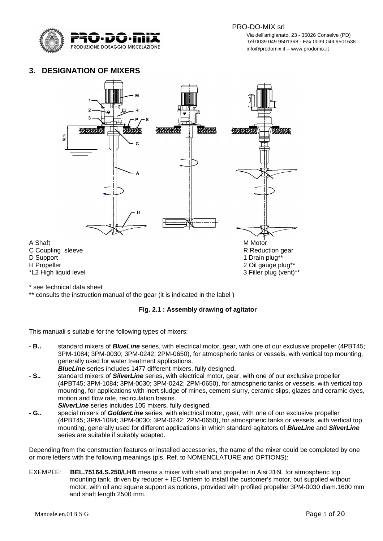

 Via dell'artigianato, 23 - 35026 Conselve (PD) T<br>
Tel 0039 049 9501368 - Fax 0039 049 9501638<br>
Info@prodomix it assessed all prodomix it assessed and the info@prodomix it assessed info@prodomix it info@prodomix.it – www.prodomix.it

## **3. DESIGNATION OF MIXERS**



\* see technical data sheet

\*\* consults the instruction manual of the gear (it is indicated in the label )

#### **Fig. 2.1 : Assembly drawing of agitator**

This manuali s suitable for the following types of mixers:

- **B..** standard mixers of *BlueLine* series, with electrical motor, gear, with one of our exclusive propeller (4PBT45; 3PM-1084; 3PM-0030; 3PM-0242; 2PM-0650), for atmospheric tanks or vessels, with vertical top mounting, generally used for water treatment applications.
	- *BlueLine* series includes 1477 different mixers, fully designed.
- **S..** standard mixers of *SilverLine* series, with electrical motor, gear, with one of our exclusive propeller (4PBT45; 3PM-1084; 3PM-0030; 3PM-0242; 2PM-0650), for atmospheric tanks or vessels, with vertical top mounting, for applications with inert sludge of mines, cement slurry, ceramic slips, glazes and ceramic dyes, motion and flow rate, recirculation basins. *SilverLine* series includes 105 mixers, fully designed.
- **G..** special mixers of *GoldenLine* series, with electrical motor, gear, with one of our exclusive propeller (4PBT45; 3PM-1084; 3PM-0030; 3PM-0242; 2PM-0650), for atmospheric tanks or vessels, with vertical top mounting, generally used for different applications in which standard agitators of *BlueLine* and *SilverLine* series are suitable if suitably adapted.

Depending from the construction features or installed accessories, the name of the mixer could be completed by one or more letters with the following meanings (pls. Ref. to NOMENCLATURE and OPTIONS):

EXEMPLE: **BEL.75164.S.250/LHB** means a mixer with shaft and propeller in Aisi 316L for atmospheric top mounting tank, driven by reducer + IEC lantern to install the customer's motor, but supplied without motor, with oil and square support as options, provided with profiled propeller 3PM-0030 diam.1600 mm and shaft length 2500 mm.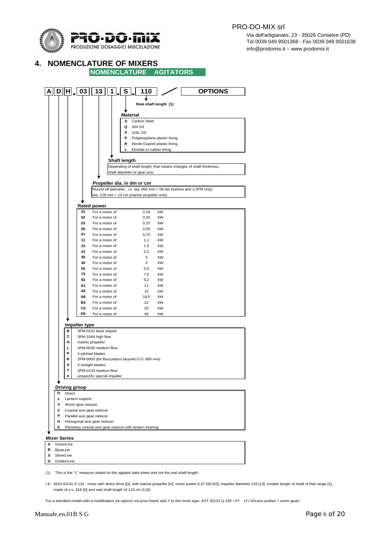

 $\overrightarrow{P}$   $\overrightarrow{O}$   $\overrightarrow{II}$   $\overrightarrow{X}$   $\overrightarrow{II}$   $\overrightarrow{II}$   $\overrightarrow{II}$   $\overrightarrow{II}$   $\overrightarrow{II}$   $\overrightarrow{II}$   $\overrightarrow{II}$   $\overrightarrow{II}$   $\overrightarrow{II}$   $\overrightarrow{II}$   $\overrightarrow{II}$   $\overrightarrow{II}$   $\overrightarrow{II}$   $\overrightarrow{II}$   $\overrightarrow{II}$   $\overrightarrow{II}$   $\overrightarrow{II}$   $\overrightarrow{II}$   $\overrightarrow{II}$   $\overrightarrow{II}$   $\overrightarrow{$ TEL ULTIMO TEL 0039 049 9501368 - Fax 0039 049 9501638<br>PRODUZIONE DOSAGGIO MISCELAZIONE TEL 1999 PER ENTRE 1999 DEL 1999 PER ENTRE ENTRE ENTRE ENTRE ENTRE ENTRE ENTR info@prodomix.it – www.prodomix.it

#### **4. NOMENCLATURE OF MIXERS**

**NOMENCLATURE AGITATORS**  $\boxed{A}$   $\boxed{D}$   $\boxed{H}$ ,  $\boxed{03}$   $\boxed{13}$   $\boxed{1}$ ,  $\boxed{S}$ ,  $\boxed{110}$ **OPTIONS** ↓ **Real shaft length (1) Material A** Carbon Steel **Q** 304 SS **S** 316L SS **P** Polypropylene plastic lining **R** Abcite Dupont plastic lining **L** Ebonite or rubber lining **Shaft length** Depending of shaft length, that means changes of shaft thickness, shaft diameter or gear size. **Propeller dia. in dm or cm** Round off diameter; i.e. dia. 850 mm = 08 dm (turbine and 2,3PM only) dia. 128 mm = 13 cm (marine propeller only) **Rated power 01** For a motor of 0,18 kW **02** For a motor of 0,25 kW **03** For a motor of 0,37 kW **05** For a motor of 0,55 kW **07** For a motor of 0,75 kW **11** For a motor of 1,1 kW **15** For a motor of 1.5 kW **22** For a motor of 2.2 kW **30** For a motor of 3 kW **40** For a motor of 4 kW **55** For a motor of 5,5 kW **75** For a motor of 7,5 kW **92** For a motor of 9,2 kW **A1** For a motor of 11 kW **A5** For a motor of 15 kW A8 For a motor of 18,5 kW **B2** For a motor of 22 kW **C0** For a motor of 30 kW<br> **D5** For a motor of 45 kW **D5** For a motor of 45 kW **Impeller type B** 3PM-0242 back sloped **C** 3PM-1084 high flow **H** marine propeller **L** 3PM-0030 medium flow **P** 4 pitched blades **R** 2PM-0650 (for flocculators beyond O.D. 800 mm) **S** 4 straight blades **T** 3PM-0134 medium flow **X** unspecific special impeller **Driving group D** Direct **L** Lantern support **V** Worm gear reducer **C** Coaxial axis gear reducer **P** Parallel axis gear reducer **H** Hortogonal axis gear reducer **E** Planetary coaxial axis gear reducer with lantern bearing **Mixer Series A** GreenLine **B** BlueLine **S** SilverLine **G** GoldenLine

(1) This is the "L" measure stated on the agitator data sheet and not the real shaft length.

I.E.: ADH.03131.S.110 : mixer with direct drive [D], with marine propeller [H], motor power 0,37 kW [03], impeller diameter 128 [13], smaller length of shaft of that range [1], made of s.s. 316 [S] and real shaft length of 110 cm [110].

For a standard model with a modification (or option) not price listed, add Y to the mixer type: AVT.30131.Q.335 / SY (Y= Klicson probes + worm gear)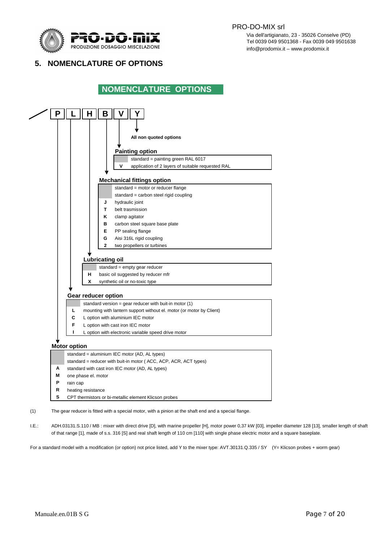

 Via dell'artigianato, 23 - 35026 Conselve (PD) TO THE TELLO THE STATE THE STATE OF THE OCCUPANT OF THE OCCUPANT OF THE OCCUPANT OF THE OCCUPANT OF THE OCCUPANT OF THE OCCUPANT OF THE OCCUPANT OF THE OCCUPANT OF THE OCCUPANT OF THE OCCUPANT OF THE OCCUPANT OF THE OCCUPA info@prodomix.it – www.prodomix.it

# **5. NOMENCLATURE OF OPTIONS**

# **NOMENCLATURE OPTIONS**



(1) The gear reducer is fitted with a special motor, with a pinion at the shaft end and a special flange.

I.E.: ADH.03131.S.110 / MB : mixer with direct drive [D], with marine propeller [H], motor power 0,37 kW [03], impeller diameter 128 [13], smaller length of shaft of that range [1], made of s.s. 316 [S] and real shaft length of 110 cm [110] with single phase electric motor and a square baseplate.

For a standard model with a modification (or option) not price listed, add Y to the mixer type: AVT.30131.Q.335 / SY (Y= Klicson probes + worm gear)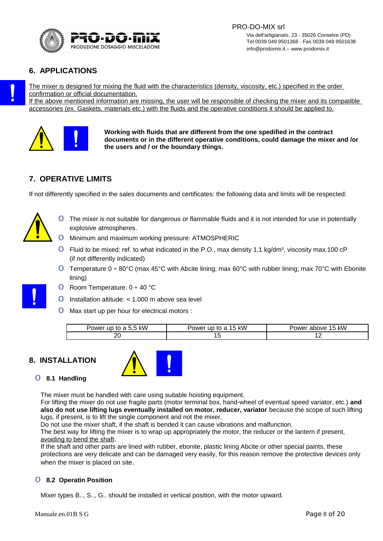

## **6. APPLICATIONS**

The mixer is designed for mixing the fluid with the characteristics (density, viscosity, etc.) specified in the order confirmation or official documentation.

If the above mentioned information are missing, the user will be responsible of checking the mixer and its compatible accessories (ex. Gaskets, materials etc.) with the fluids and the operative conditions it should be applied to.



**Working with fluids that are different from the one spedified in the contract documents or in the different operative conditions, could damage the mixer and /or the users and / or the boundary things.**

# **7. OPERATIVE LIMITS**

If not differently specified in the sales documents and certificates: the following data and limits will be respected:



- **O** The mixer is not suitable for dangerous or flammable fluids and it is not intended for use in potentially explosive atmospheres.
- o Minimum and maximum working pressure: ATMOSPHERIC
- $O$  Fluid to be mixed: ref. to what indicated in the P.O., max density 1,1 kg/dm<sup>3</sup>, viscosity max.100 cP (if not differently indicated)
- O Temperature 0 ÷ 80°C (max 45°C with Abcite lining; max 60°C with rubber lining; max 70°C with Ebonite lining)
- O Room Temperature:  $0 \div 40$  °C
- O Installation altitude:  $<$  1.000 m above sea level
- o Max start up per hour for electrical motors :

| kW<br>$\overline{\phantom{a}}$<br>owei<br>tr<br>ш<br>. . | kW<br>ower <sup></sup><br>. | kW<br>above<br>owe |
|----------------------------------------------------------|-----------------------------|--------------------|
| ״<br>້                                                   | ᅩ                           | --                 |

## **8. INSTALLATION**



#### o **8.1 Handling**

The mixer must be handled with care using suitable hoisting equipment.

For lifting the mixer do not use fragile parts (motor terminal box, hand-wheel of eventual speed variator, etc.) **and also do not use lifting lugs eventually installed on motor, reducer, variator** because the scope of such lifting lugs, if present, is to lift the single component and not the mixer.

Do not use the mixer shaft, if the shaft is bended it can cause vibrations and malfunction.

The best way for lifting the mixer is to wrap up appropriately the motor, the reducer or the lantern if present, avoiding to bend the shaft.

If the shaft and other parts are lined with rubber, ebonite, plastic lining Abcite or other special paints, these protections are very delicate and can be damaged very easily, for this reason remove the protective devices only when the mixer is placed on site.

#### o **8.2 Operatin Position**

Mixer types B.., S.., G.. should be installed in vertical position, with the motor upward.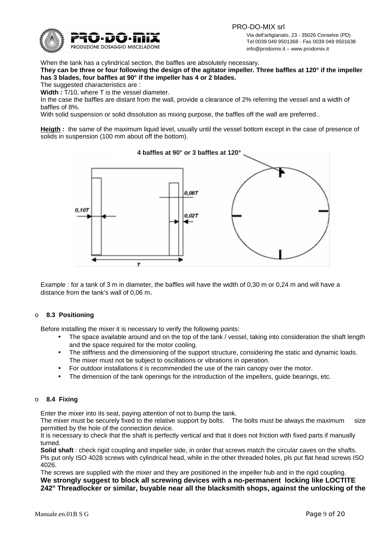

 PRO-DO-MIX srl Via dell'artigianato, 23 - 35026 Conselve (PD) Tel 0039 049 9501368 - Fax 0039 049 9501638<br>PRODUZIONE DOSAGGIO MISCELAZIONE TRADELLA ELECTRIC DE L'ORDEN DE L'ORDEN DE L'ORDEN DE L'ORDEN DE L'ORDEN DE L info@prodomix.it – www.prodomix.it

When the tank has a cylindrical section, the baffles are absolutely necessary.

**They can be three or four following the design of the agitator impeller. Three baffles at 120° if the impeller has 3 blades, four baffles at 90° if the impeller has 4 or 2 blades.**

The suggested characteristics are :

**Width :** T/10, where T is the vessel diameter.

In the case the baffles are distant from the wall, provide a clearance of 2% referring the vessel and a width of baffles of 8%.

With solid suspension or solid dissolution as mixing purpose, the baffles off the wall are preferred..

**Heigth :** the same of the maximum liquid level, usually until the vessel bottom except in the case of presence of solids in suspension (100 mm about off the bottom).



Example : for a tank of 3 m in diameter, the baffles will have the width of 0,30 m or 0,24 m and will have a distance from the tank's wall of 0,06 m.

#### o **8.3 Positioning**

Before installing the mixer it is necessary to verify the following points:

- The space available around and on the top of the tank / vessel, taking into consideration the shaft length and the space required for the motor cooling.
- The stiffness and the dimensioning of the support structure, considering the static and dynamic loads. The mixer must not be subject to oscillations or vibrations in operation.
- For outdoor installations it is recommended the use of the rain canopy over the motor.
- The dimension of the tank openings for the introduction of the impellers, guide bearings, etc.

#### o **8.4 Fixing**

Enter the mixer into its seat, paying attention of not to bump the tank.

The mixer must be securely fixed to the relative support by bolts. The bolts must be always the maximum size permitted by the hole of the connection device.

It is necessary to check that the shaft is perfectly vertical and that it does not friction with fixed parts if manually turned.

**Solid shaft** : check rigid coupling and impeller side, in order that screws match the circular caves on the shafts. Pls put only ISO 4028 screws with cylindrical head, while in the other threaded holes, pls put flat head screws ISO 4026.

The screws are supplied with the mixer and they are positioned in the impeller hub and in the rigid coupling. **We strongly suggest to block all screwing devices with a no-permanent locking like LOCTITE 242® Threadlocker or similar, buyable near all the blacksmith shops, against the unlocking of the**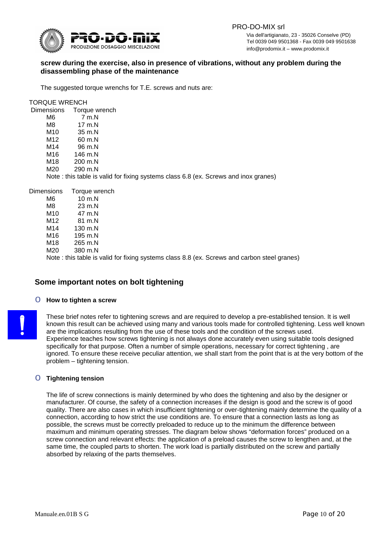

 PRO-DO-MIX srl Via dell'artigianato, 23 - 35026 Conselve (PD) T<br>
Tel 0039 049 9501368 - Fax 0039 049 9501638<br>
PRODUZIONE DOSAGGIO MISCELAZIONE<br>
info@prodomix it annua prodomix it info@prodomix.it – www.prodomix.it

### **screw during the exercise, also in presence of vibrations, without any problem during the disassembling phase of the maintenance**

The suggested torque wrenchs for T.E. screws and nuts are:

TORQUE WRENCH

| <b>Dimensions</b> | Torque wrench     |                                                                                     |
|-------------------|-------------------|-------------------------------------------------------------------------------------|
| M6                | 7 m.N             |                                                                                     |
| M8                | $17 \text{ m}$ .N |                                                                                     |
| M10               | 35 m.N            |                                                                                     |
| M12               | 60 m.N            |                                                                                     |
| M14               | 96 m.N            |                                                                                     |
| M16               | 146 m.N           |                                                                                     |
| M18               | 200 m.N           |                                                                                     |
| M20               | 290 m.N           |                                                                                     |
|                   |                   | Note: this table is valid for fixing systems class 6.8 (ex. Screws and inox granes) |
|                   |                   |                                                                                     |

| Dimensions | Torque wrench      |  |                                                                                              |  |
|------------|--------------------|--|----------------------------------------------------------------------------------------------|--|
| M6         | $10 \text{ m}$ .N  |  |                                                                                              |  |
| M8         | $23 \text{ m}$ .N  |  |                                                                                              |  |
| M10        | 47 m.N             |  |                                                                                              |  |
| M12        | 81 m.N             |  |                                                                                              |  |
| M14        | 130 m.N            |  |                                                                                              |  |
| M16        | $195 \text{ m}$ .N |  |                                                                                              |  |
| M18        | 265 m.N            |  |                                                                                              |  |
| M20        | 380 m.N            |  |                                                                                              |  |
|            |                    |  | Note : this table is valid for fixing systems class 8.8 (ex. Screws and carbon steel granes) |  |

## **Some important notes on bolt tightening**

#### o **How to tighten a screw**

These brief notes refer to tightening screws and are required to develop a pre-established tension. It is well known this result can be achieved using many and various tools made for controlled tightening. Less well known are the implications resulting from the use of these tools and the condition of the screws used. Experience teaches how screws tightening is not always done accurately even using suitable tools designed specifically for that purpose. Often a number of simple operations, necessary for correct tightening , are ignored. To ensure these receive peculiar attention, we shall start from the point that is at the very bottom of the problem – tightening tension.

#### o **Tightening tension**

The life of screw connections is mainly determined by who does the tightening and also by the designer or manufacturer. Of course, the safety of a connection increases if the design is good and the screw is of good quality. There are also cases in which insufficient tightening or over-tightening mainly determine the quality of a connection, according to how strict the use conditions are. To ensure that a connection lasts as long as possible, the screws must be correctly preloaded to reduce up to the minimum the difference between maximum and minimum operating stresses. The diagram below shows "deformation forces" produced on a screw connection and relevant effects: the application of a preload causes the screw to lengthen and, at the same time, the coupled parts to shorten. The work load is partially distributed on the screw and partially absorbed by relaxing of the parts themselves.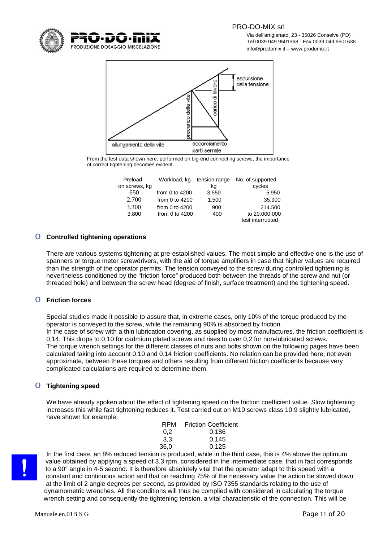

 Via dell'artigianato, 23 - 35026 Conselve (PD) Tel 0039 049 9501368 - Fax 0039 049 9501638 info@prodomix.it – www.prodomix.it



From the test data shown here, performed on big-end connecting screws, the importance of correct tightening becomes evident.

| Preload       | Workload, kg     |       | tension range No. of supported |
|---------------|------------------|-------|--------------------------------|
| on screws, kg |                  | ka    | cycles                         |
| 650           | from 0 to $4200$ | 3.550 | 5.950                          |
| 2.700         | from 0 to $4200$ | 1.500 | 35,900                         |
| 3.300         | from 0 to $4200$ | 900   | 214.500                        |
| 3.800         | from 0 to $4200$ | 400   | to 20,000,000                  |
|               |                  |       | test interrupted               |

#### o **Controlled tightening operations**

There are various systems tightening at pre-established values. The most simple and effective one is the use of spanners or torque meter screwdrivers, with the aid of torque amplifiers in case that higher values are required than the strength of the operator permits. The tension conveyed to the screw during controlled tightening is nevertheless conditioned by the "friction force" produced both between the threads of the screw and nut (or threaded hole) and between the screw head (degree of finish, surface treatment) and the tightening speed.

### o **Friction forces**

Special studies made it possible to assure that, in extreme cases, only 10% of the torque produced by the operator is conveyed to the screw, while the remaining 90% is absorbed by friction. In the case of screw with a thin lubrication covering, as supplied by most manufactures, the friction coefficient is 0,14. This drops to 0,10 for cadmium plated screws and rises to over 0,2 for non-lubricated screws. The torque wrench settings for the different classes of nuts and bolts shown on the following pages have been calculated taking into account 0.10 and 0.14 friction coefficients. No relation can be provided here, not even approximate, between these torques and others resulting from different friction coefficients because very complicated calculations are required to determine them.

#### o **Tightening speed**

We have already spoken about the effect of tightening speed on the friction coefficient value. Slow tightening increases this while fast tightening reduces it. Test carried out on M10 screws class 10.9 slightly lubricated, have shown for example:

| RPM                              | <b>Friction Coefficient</b> |
|----------------------------------|-----------------------------|
| 0.2                              | 0.186                       |
| 3.3                              | 0.145                       |
| 36.0                             | 0.125                       |
| ian ia nyaduaad whila in tha thi |                             |

In the first case, an 8% reduced tension is produced, while in the third case, this is 4% above the optimum value obtained by applying a speed of 3.3 rpm, considered in the intermediate case, that in fact corresponds to a 90° angle in 4-5 second. It is therefore absolutely vital that the operator adapt to this speed with a constant and continuous action and that on reaching 75% of the necessary value the action be slowed down at the limit of 2 angle degrees per second, as provided by ISO 7355 standards relating to the use of dynamometric wrenches. All the conditions will thus be complied with considered in calculating the torque wrench setting and consequently the tightening tension, a vital characteristic of the connection. This will be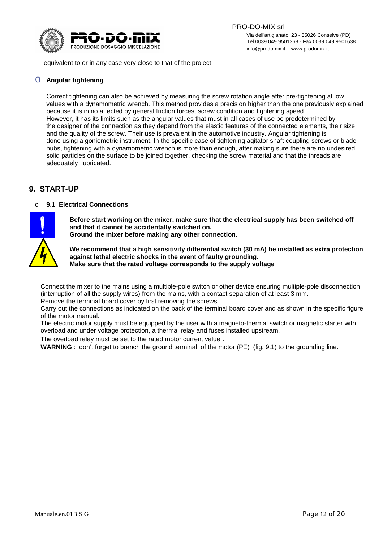

equivalent to or in any case very close to that of the project.

### o **Angular tightening**

Correct tightening can also be achieved by measuring the screw rotation angle after pre-tightening at low values with a dynamometric wrench. This method provides a precision higher than the one previously explained because it is in no affected by general friction forces, screw condition and tightening speed. However, it has its limits such as the angular values that must in all cases of use be predetermined by the designer of the connection as they depend from the elastic features of the connected elements, their size and the quality of the screw. Their use is prevalent in the automotive industry. Angular tightening is done using a goniometric instrument. In the specific case of tightening agitator shaft coupling screws or blade hubs, tightening with a dynamometric wrench is more than enough, after making sure there are no undesired solid particles on the surface to be joined together, checking the screw material and that the threads are adequately lubricated.

## **9. START-UP**

#### o **9.1 Electrical Connections**



**Before start working on the mixer, make sure that the electrical supply has been switched off and that it cannot be accidentally switched on.**

**Ground the mixer before making any other connection.**

**We recommend that a high sensitivity differential switch (30 mA) be installed as extra protection against lethal electric shocks in the event of faulty grounding. Make sure that the rated voltage corresponds to the supply voltage**

Connect the mixer to the mains using a multiple-pole switch or other device ensuring multiple-pole disconnection (interruption of all the supply wires) from the mains, with a contact separation of at least 3 mm. Remove the terminal board cover by first removing the screws.

Carry out the connections as indicated on the back of the terminal board cover and as shown in the specific figure of the motor manual.

The electric motor supply must be equipped by the user with a magneto-thermal switch or magnetic starter with overload and under voltage protection, a thermal relay and fuses installed upstream.

The overload relay must be set to the rated motor current value .

**WARNING** : don't forget to branch the ground terminal of the motor (PE) (fig. 9.1) to the grounding line.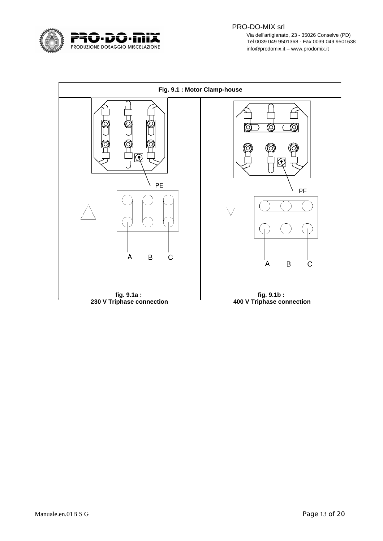

 PRO-DO-MIX srl  $\mathbf{G}$  -  $\mathbf{D}$  -  $\mathbf{H}$  is  $\mathbf{X}$  and  $\mathbf{X}$  and  $\mathbf{X}$  and  $\mathbf{X}$  and  $\mathbf{X}$  and  $\mathbf{X}$  and  $\mathbf{X}$  and  $\mathbf{X}$  and  $\mathbf{X}$  and  $\mathbf{X}$  and  $\mathbf{X}$  and  $\mathbf{X}$  and  $\mathbf{X}$  and  $\mathbf{X}$  and  $\mathbf{$ Tel 0039 049 9501368 - Fax 0039 049 9501638<br>PRODUZIONE DOSAGGIO MISCELAZIONE TEL 1999 PERENTIALE IN ANNE DOSAGGIO MISCELAZIONE info@prodomix.it – www.prodomix.it

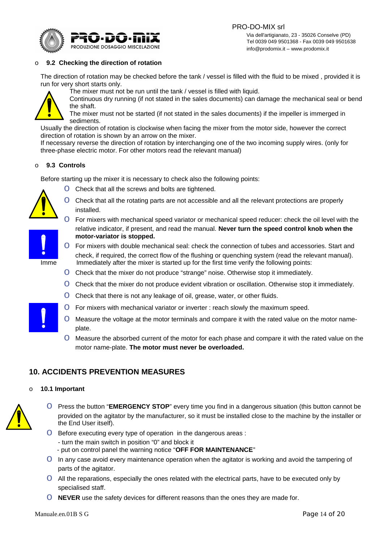

info@prodomix.it – www.prodomix.it



#### o **9.2 Checking the direction of rotation**

The direction of rotation may be checked before the tank / vessel is filled with the fluid to be mixed , provided it is run for very short starts only.



The mixer must not be run until the tank / vessel is filled with liquid. Continuous dry running (if not stated in the sales documents) can damage the mechanical seal or bend

the shaft. The mixer must not be started (if not stated in the sales documents) if the impeller is immerged in sediments.

Usually the direction of rotation is clockwise when facing the mixer from the motor side, however the correct direction of rotation is shown by an arrow on the mixer.

If necessary reverse the direction of rotation by interchanging one of the two incoming supply wires. (only for three-phase electric motor. For other motors read the relevant manual)

#### o **9.3 Controls**

Before starting up the mixer it is necessary to check also the following points:

**O** Check that all the screws and bolts are tightened.



- O Check that all the rotating parts are not accessible and all the relevant protections are properly installed.
- o For mixers with mechanical speed variator or mechanical speed reducer: check the oil level with the relative indicator, if present, and read the manual. **Never turn the speed control knob when the motor-variator is stopped.**



- **O** For mixers with double mechanical seal: check the connection of tubes and accessories. Start and check, if required, the correct flow of the flushing or quenching system (read the relevant manual). Imme Immediately after the mixer is started up for the first time verify the following points:
	- o Check that the mixer do not produce "strange" noise. Otherwise stop it immediately.
	- O Check that the mixer do not produce evident vibration or oscillation. Otherwise stop it immediately.
	- **O** Check that there is not any leakage of oil, grease, water, or other fluids.
	- o For mixers with mechanical variator or inverter : reach slowly the maximum speed.
	- o Measure the voltage at the motor terminals and compare it with the rated value on the motor nameplate.
	- **O** Measure the absorbed current of the motor for each phase and compare it with the rated value on the motor name-plate. **The motor must never be overloaded.**

## **10. ACCIDENTS PREVENTION MEASURES**

#### o **10.1 Important**



- o Press the button "**EMERGENCY STOP**" every time you find in a dangerous situation (this button cannot be provided on the agitator by the manufacturer, so it must be installed close to the machine by the installer or the End User itself).
- O Before executing every type of operation in the dangerous areas :
	- turn the main switch in position "0" and block it
	- put on control panel the warning notice "**OFF FOR MAINTENANCE**"
- O In any case avoid every maintenance operation when the agitator is working and avoid the tampering of parts of the agitator.
- o All the reparations, especially the ones related with the electrical parts, have to be executed only by specialised staff.
- **O** NEVER use the safety devices for different reasons than the ones they are made for.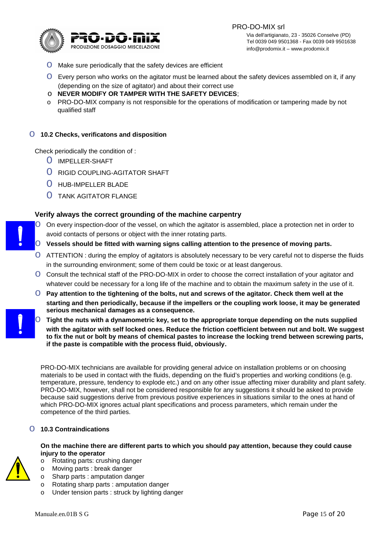

- **O** Make sure periodically that the safety devices are efficient
- o Every person who works on the agitator must be learned about the safety devices assembled on it, if any (depending on the size of agitator) and about their correct use
- o **NEVER MODIFY OR TAMPER WITH THE SAFETY DEVICES**;
- o PRO-DO-MIX company is not responsible for the operations of modification or tampering made by not qualified staff

#### o **10.2 Checks, verificatons and disposition**

Check periodically the condition of :

- O IMPELLER-SHAFT
- O RIGID COUPLING-AGITATOR SHAFT
- O HUB-IMPELLER BLADE
- O TANK AGITATOR FLANGE

#### **Verify always the correct grounding of the machine carpentry**

- O On every inspection-door of the vessel, on which the agitator is assembled, place a protection net in order to avoid contacts of persons or object with the inner rotating parts.
	- **O** Vessels should be fitted with warning signs calling attention to the presence of moving parts.
	- o ATTENTION : during the employ of agitators is absolutely necessary to be very careful not to disperse the fluids in the surrounding environment; some of them could be toxic or at least dangerous.
	- O Consult the technical staff of the PRO-DO-MIX in order to choose the correct installation of your agitator and whatever could be necessary for a long life of the machine and to obtain the maximum safety in the use of it.
	- o **Pay attention to the tightening of the bolts, nut and screws of the agitator. Check them well at the starting and then periodically, because if the impellers or the coupling work loose, it may be generated serious mechanical damages as a consequence.**
	- o **Tight the nuts with a dynamometric key, set to the appropriate torque depending on the nuts supplied with the agitator with self locked ones. Reduce the friction coefficient between nut and bolt. We suggest to fix the nut or bolt by means of chemical pastes to increase the locking trend between screwing parts, if the paste is compatible with the process fluid, obviously.**

PRO-DO-MIX technicians are available for providing general advice on installation problems or on choosing materials to be used in contact with the fluids, depending on the fluid's properties and working conditions (e.g. temperature, pressure, tendency to explode etc.) and on any other issue affecting mixer durability and plant safety. PRO-DO-MIX, however, shall not be considered responsible for any suggestions it should be asked to provide because said suggestions derive from previous positive experiences in situations similar to the ones at hand of which PRO-DO-MIX ignores actual plant specifications and process parameters, which remain under the competence of the third parties.

#### o **10.3 Contraindications**

**On the machine there are different parts to which you should pay attention, because they could cause injury to the operator**

- 
- o Sharp parts : amputation danger

o Rotating parts: crushing danger o Moving parts : break danger

o Rotating sharp parts : amputation danger o Under tension parts : struck by lighting danger

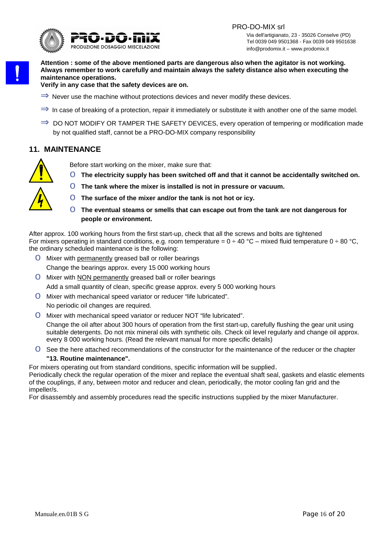

**Attention : some of the above mentioned parts are dangerous also when the agitator is not working. Always remember to work carefully and maintain always the safety distance also when executing the maintenance operations.**

**Verify in any case that the safety devices are on.**

- $\Rightarrow$  Never use the machine without protections devices and never modify these devices.
- $\Rightarrow$  In case of breaking of a protection, repair it immediately or substitute it with another one of the same model.
- $\Rightarrow$  DO NOT MODIFY OR TAMPER THE SAFETY DEVICES, every operation of tempering or modification made by not qualified staff, cannot be a PRO-DO-MIX company responsibility

## **11. MAINTENANCE**



Before start working on the mixer, make sure that:

- o **The electricity supply has been switched off and that it cannot be accidentally switched on.**
- o **The tank where the mixer is installed is not in pressure or vacuum.**
- o **The surface of the mixer and/or the tank is not hot or icy.**
- o **The eventual steams or smells that can escape out from the tank are not dangerous for people or environment.**

After approx. 100 working hours from the first start-up, check that all the screws and bolts are tightened For mixers operating in standard conditions, e.g. room temperature =  $0 \div 40$  °C – mixed fluid temperature  $0 \div 80$  °C, the ordinary scheduled maintenance is the following:

- **O** Mixer with permanently greased ball or roller bearings Change the bearings approx. every 15 000 working hours
- **O** Mixer with NON permanently greased ball or roller bearings Add a small quantity of clean, specific grease approx. every 5 000 working hours
- o Mixer with mechanical speed variator or reducer "life lubricated". No periodic oil changes are required.
- o Mixer with mechanical speed variator or reducer NOT "life lubricated".

Change the oil after about 300 hours of operation from the first start-up, carefully flushing the gear unit using suitable detergents. Do not mix mineral oils with synthetic oils. Check oil level regularly and change oil approx. every 8 000 working hours. (Read the relevant manual for more specific details)

- o See the here attached recommendations of the constructor for the maintenance of the reducer or the chapter **"13. Routine maintenance".**
- For mixers operating out from standard conditions, specific information will be supplied.

Periodically check the regular operation of the mixer and replace the eventual shaft seal, gaskets and elastic elements of the couplings, if any, between motor and reducer and clean, periodically, the motor cooling fan grid and the impeller/s.

For disassembly and assembly procedures read the specific instructions supplied by the mixer Manufacturer.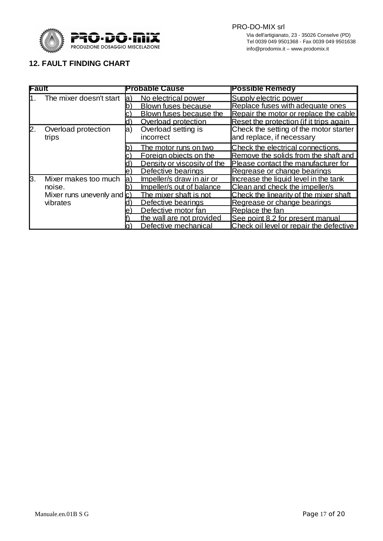

# **12. FAULT FINDING CHART**

| Fault |                            | <b>Probable Cause</b> |                             | <b>Possible Remedy</b>                  |  |
|-------|----------------------------|-----------------------|-----------------------------|-----------------------------------------|--|
| I1.   | The mixer doesn't start    | la)                   | No electrical power         | Supply electric power                   |  |
|       |                            |                       | <b>Blown fuses because</b>  | Replace fuses with adequate ones        |  |
|       |                            |                       | Blown fuses because the     | Repair the motor or replace the cable   |  |
|       |                            | IO I                  | Overload protection         | Reset the protection (if it trips again |  |
| 2.    | Overload protection        | la)                   | Overload setting is         | Check the setting of the motor starter  |  |
|       | trips                      |                       | incorrect                   | and replace, if necessary               |  |
|       |                            |                       | The motor runs on two       | Check the electrical connections.       |  |
|       |                            |                       | Foreign objects on the      | Remove the solids from the shaft and    |  |
|       |                            |                       | Density or viscosity of the | Please contact the manufacturer for     |  |
|       |                            | le l                  | Defective bearings          | Regrease or change bearings             |  |
| ß.    | Mixer makes too much       | la)                   | Impeller/s draw in air or   | Increase the liquid level in the tank   |  |
|       | noise.                     |                       | Impeller/s out of balance   | Clean and check the impeller/s          |  |
|       | Mixer runs unevenly and c) |                       | The mixer shaft is not      | Check the linearity of the mixer shaft  |  |
|       | vibrates                   |                       | Defective bearings          | Regrease or change bearings             |  |
|       |                            |                       | Defective motor fan         | Replace the fan                         |  |
|       |                            |                       | the wall are not provided   | See point 8.2 for present manual        |  |
|       |                            |                       | Defective mechanical        | Check oil level or repair the defective |  |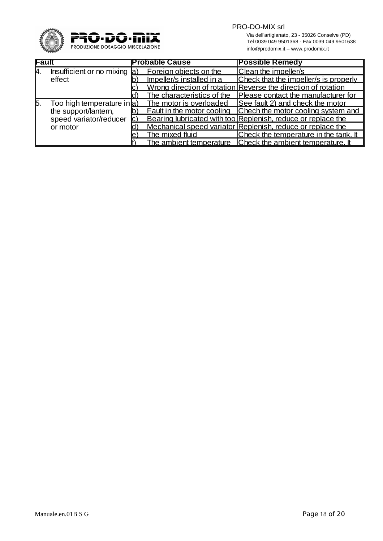

PRO-DO-MIX srl

Via dell'artigianato, 23 - 35026 Conselve (PD)<br>
PRODUZIONE DOSAGGIO MISCELAZIONE<br>
PRODUZIONE DOSAGGIO MISCELAZIONE<br>
info@prodomix.it – www.prodomix.it Tel 0039 049 9501368 - Fax 0039 049 9501638 info@prodomix.it – www.prodomix.it

| Fault |                                    | <b>Probable Cause</b> |                            | <b>Possible Remedy</b>                                               |  |
|-------|------------------------------------|-----------------------|----------------------------|----------------------------------------------------------------------|--|
| 14.   | Insufficient or no mixing $\alpha$ |                       | Foreign objects on the     | Clean the impeller/s                                                 |  |
|       | effect                             |                       | Impeller/s installed in a  | Check that the impeller/s is properly                                |  |
|       |                                    |                       |                            | Wrong direction of rotation Reverse the direction of rotation        |  |
|       |                                    |                       | The characteristics of the | Please contact the manufacturer for                                  |  |
| 15.   | Too high temperature in a          |                       | The motor is overloaded    | See fault 2) and check the motor                                     |  |
|       | the support/lantern,               |                       |                            | <b>Fault in the motor cooling Chech the motor cooling system and</b> |  |
|       | speed variator/reducer             |                       |                            | Bearing lubricated with too Replenish, reduce or replace the         |  |
|       | or motor                           |                       |                            | Mechanical speed variator Replenish, reduce or replace the           |  |
|       |                                    |                       | The mixed fluid            | <b>Check the temperature in the tank. It</b>                         |  |
|       |                                    |                       |                            | The ambient temperature Check the ambient temperature. It            |  |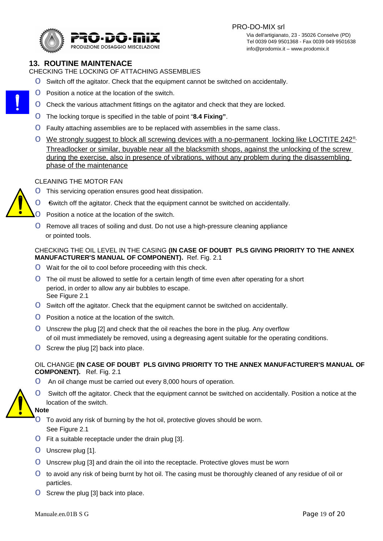PRO-DO-MIX srl



 Via dell'artigianato, 23 - 35026 Conselve (PD) Tel 0039 049 9501368 - Fax 0039 049 9501638<br>PRODUZIONE DOSAGGIO MISCELAZIONE PRODUZIONE EN EL ESTE EN EL EN EL EN EL EN EL EN EL EN EL EN EL EN EL EN EL E info@prodomix.it – www.prodomix.it

# **13. ROUTINE MAINTENACE**

CHECKING THE LOCKING OF ATTACHING ASSEMBLIES

- **O** Switch off the agitator. Check that the equipment cannot be switched on accidentally.
- **O** Position a notice at the location of the switch.
- O Check the various attachment fittings on the agitator and check that they are locked.
- o The locking torque is specified in the table of point "**8.4 Fixing"**.
- o Faulty attaching assemblies are to be replaced with assemblies in the same class.
- O We strongly suggest to block all screwing devices with a no-permanent locking like LOCTITE 242<sup>®</sup> Threadlocker or similar, buyable near all the blacksmith shops , against the unlocking of the screw during the exercise, also in presence of vibrations, without any problem during the disassembling phase of the maintenance

#### CLEANING THE MOTOR FAN

- **O** This servicing operation ensures good heat dissipation.
- o Switch off the agitator. Check that the equipment cannot be switched on accidentally.
- **O** Position a notice at the location of the switch.
- **O** Remove all traces of soiling and dust. Do not use a high-pressure cleaning appliance or pointed tools.

#### CHECKING THE OIL LEVEL IN THE CASING **(IN CASE OF DOUBT PLS GIVING PRIORITY TO THE ANNEX MANUFACTURER'S MANUAL OF COMPONENT).** Ref. Fig. 2.1

- **O** Wait for the oil to cool before proceeding with this check.
- o The oil must be allowed to settle for a certain length of time even after operating for a short period, in order to allow any air bubbles to escape. See Figure 2.1
- **O** Switch off the agitator. Check that the equipment cannot be switched on accidentally.
- $\Omega$  Position a notice at the location of the switch.
- o Unscrew the plug [2] and check that the oil reaches the bore in the plug. Any overflow of oil must immediately be removed, using a degreasing agent suitable for the operating conditions.
- **O** Screw the plug [2] back into place.

## OIL CHANGE **(IN CASE OF DOUBT PLS GIVING PRIORITY TO THE ANNEX MANUFACTURER'S MANUAL OF COMPONENT).** Ref. Fig. 2.1

**O** An oil change must be carried out every 8,000 hours of operation.



**O** Switch off the agitator. Check that the equipment cannot be switched on accidentally. Position a notice at the location of the switch.



 $\overline{O}$  To avoid any risk of burning by the hot oil, protective gloves should be worn. See Figure 2.1

- $\overline{O}$  Fit a suitable receptacle under the drain plug [3].
- o Unscrew plug [1].
- o Unscrew plug [3] and drain the oil into the receptacle. Protective gloves must be worn
- O to avoid any risk of being burnt by hot oil. The casing must be thoroughly cleaned of any residue of oil or particles.
- **O** Screw the plug [3] back into place.